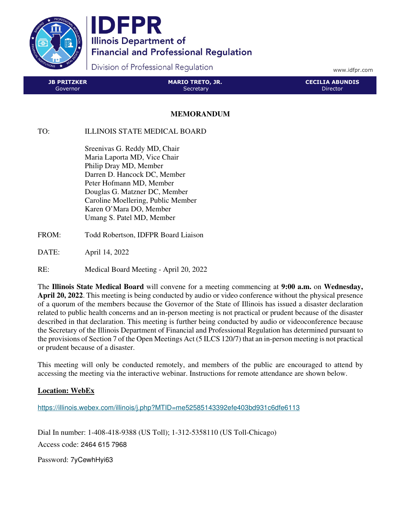

IDFPR **Illinois Department of Financial and Professional Regulation** 

Division of Professional Regulation

www.idfpr.com

| <b>JB PRITZKER</b> | <b>MARIO TRETO, JR.</b> | <b>CECILIA ABUNDIS</b> |
|--------------------|-------------------------|------------------------|
| Governor           | Secretary               | Director               |

## **MEMORANDUM**

## TO: ILLINOIS STATE MEDICAL BOARD

 Sreenivas G. Reddy MD, Chair Maria Laporta MD, Vice Chair Philip Dray MD, Member Darren D. Hancock DC, Member Peter Hofmann MD, Member Douglas G. Matzner DC, Member Caroline Moellering, Public Member Karen O'Mara DO, Member Umang S. Patel MD, Member

- FROM: Todd Robertson, IDFPR Board Liaison
- DATE: April 14, 2022
- RE: Medical Board Meeting April 20, 2022

The **Illinois State Medical Board** will convene for a meeting commencing at **9:00 a.m.** on **Wednesday, April 20, 2022**. This meeting is being conducted by audio or video conference without the physical presence of a quorum of the members because the Governor of the State of Illinois has issued a disaster declaration related to public health concerns and an in-person meeting is not practical or prudent because of the disaster described in that declaration. This meeting is further being conducted by audio or videoconference because the Secretary of the Illinois Department of Financial and Professional Regulation has determined pursuant to the provisions of Section 7 of the Open Meetings Act (5 ILCS 120/7) that an in-person meeting is not practical or prudent because of a disaster.

This meeting will only be conducted remotely, and members of the public are encouraged to attend by accessing the meeting via the interactive webinar. Instructions for remote attendance are shown below.

## **Location: WebEx**

https://illinois.webex.com/illinois/j.php?MTID=me52585143392efe403bd931c6dfe6113

Dial In number: 1-408-418-9388 (US Toll); 1-312-5358110 (US Toll-Chicago) Access code: 2464 615 7968

Password: 7yCewhHyi63